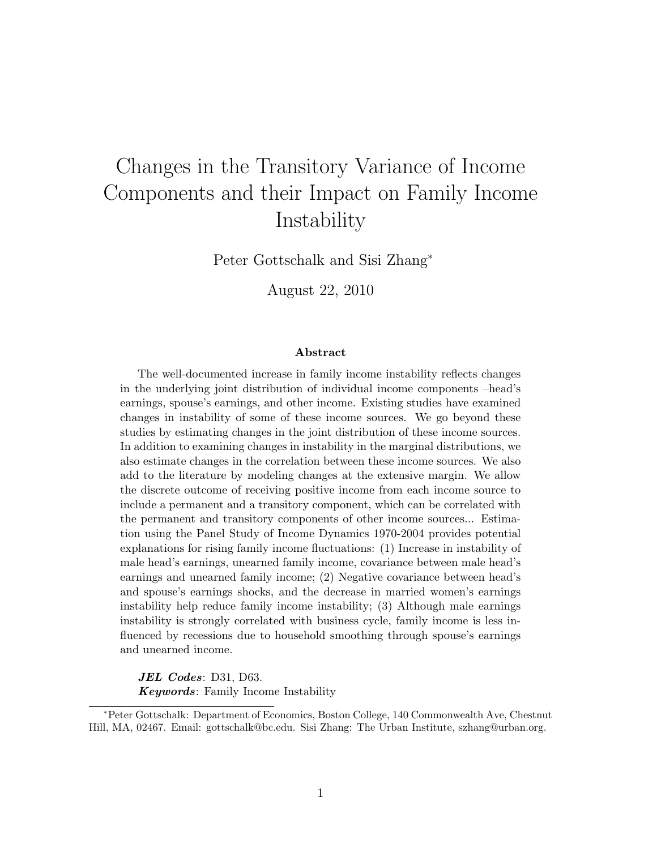# Changes in the Transitory Variance of Income Components and their Impact on Family Income Instability

Peter Gottschalk and Sisi Zhang<sup>∗</sup>

August 22, 2010

#### Abstract

The well-documented increase in family income instability reflects changes in the underlying joint distribution of individual income components –head's earnings, spouse's earnings, and other income. Existing studies have examined changes in instability of some of these income sources. We go beyond these studies by estimating changes in the joint distribution of these income sources. In addition to examining changes in instability in the marginal distributions, we also estimate changes in the correlation between these income sources. We also add to the literature by modeling changes at the extensive margin. We allow the discrete outcome of receiving positive income from each income source to include a permanent and a transitory component, which can be correlated with the permanent and transitory components of other income sources... Estimation using the Panel Study of Income Dynamics 1970-2004 provides potential explanations for rising family income fluctuations: (1) Increase in instability of male head's earnings, unearned family income, covariance between male head's earnings and unearned family income; (2) Negative covariance between head's and spouse's earnings shocks, and the decrease in married women's earnings instability help reduce family income instability; (3) Although male earnings instability is strongly correlated with business cycle, family income is less influenced by recessions due to household smoothing through spouse's earnings and unearned income.

JEL Codes: D31, D63. Keywords: Family Income Instability

<sup>∗</sup>Peter Gottschalk: Department of Economics, Boston College, 140 Commonwealth Ave, Chestnut Hill, MA, 02467. Email: gottschalk@bc.edu. Sisi Zhang: The Urban Institute, szhang@urban.org.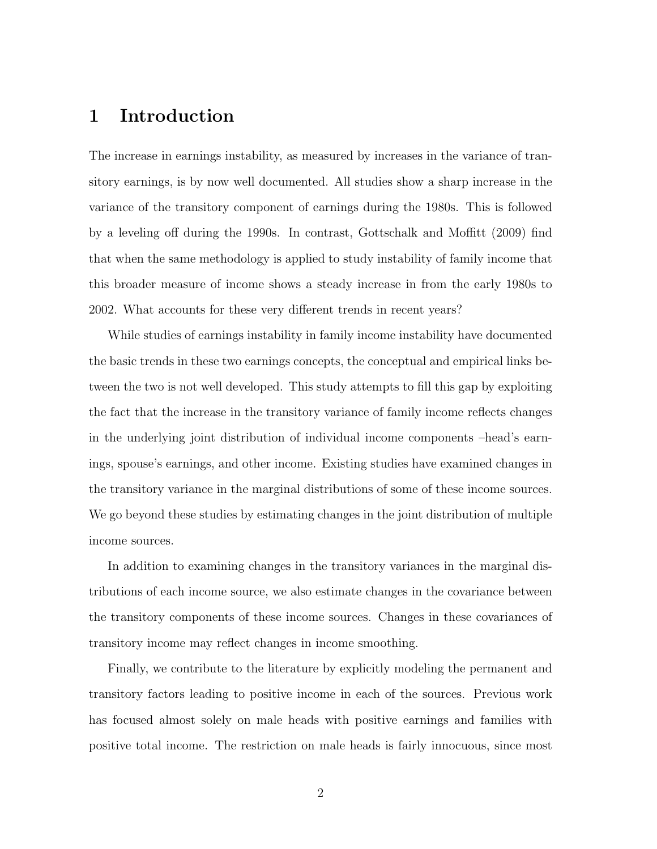### 1 Introduction

The increase in earnings instability, as measured by increases in the variance of transitory earnings, is by now well documented. All studies show a sharp increase in the variance of the transitory component of earnings during the 1980s. This is followed by a leveling off during the 1990s. In contrast, Gottschalk and Moffitt (2009) find that when the same methodology is applied to study instability of family income that this broader measure of income shows a steady increase in from the early 1980s to 2002. What accounts for these very different trends in recent years?

While studies of earnings instability in family income instability have documented the basic trends in these two earnings concepts, the conceptual and empirical links between the two is not well developed. This study attempts to fill this gap by exploiting the fact that the increase in the transitory variance of family income reflects changes in the underlying joint distribution of individual income components –head's earnings, spouse's earnings, and other income. Existing studies have examined changes in the transitory variance in the marginal distributions of some of these income sources. We go beyond these studies by estimating changes in the joint distribution of multiple income sources.

In addition to examining changes in the transitory variances in the marginal distributions of each income source, we also estimate changes in the covariance between the transitory components of these income sources. Changes in these covariances of transitory income may reflect changes in income smoothing.

Finally, we contribute to the literature by explicitly modeling the permanent and transitory factors leading to positive income in each of the sources. Previous work has focused almost solely on male heads with positive earnings and families with positive total income. The restriction on male heads is fairly innocuous, since most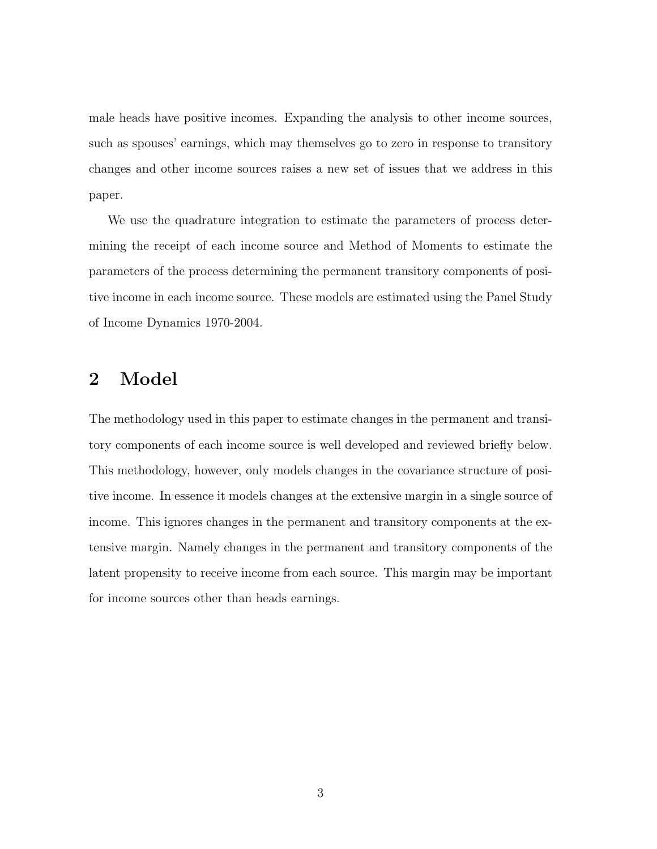male heads have positive incomes. Expanding the analysis to other income sources, such as spouses' earnings, which may themselves go to zero in response to transitory changes and other income sources raises a new set of issues that we address in this paper.

We use the quadrature integration to estimate the parameters of process determining the receipt of each income source and Method of Moments to estimate the parameters of the process determining the permanent transitory components of positive income in each income source. These models are estimated using the Panel Study of Income Dynamics 1970-2004.

### 2 Model

The methodology used in this paper to estimate changes in the permanent and transitory components of each income source is well developed and reviewed briefly below. This methodology, however, only models changes in the covariance structure of positive income. In essence it models changes at the extensive margin in a single source of income. This ignores changes in the permanent and transitory components at the extensive margin. Namely changes in the permanent and transitory components of the latent propensity to receive income from each source. This margin may be important for income sources other than heads earnings.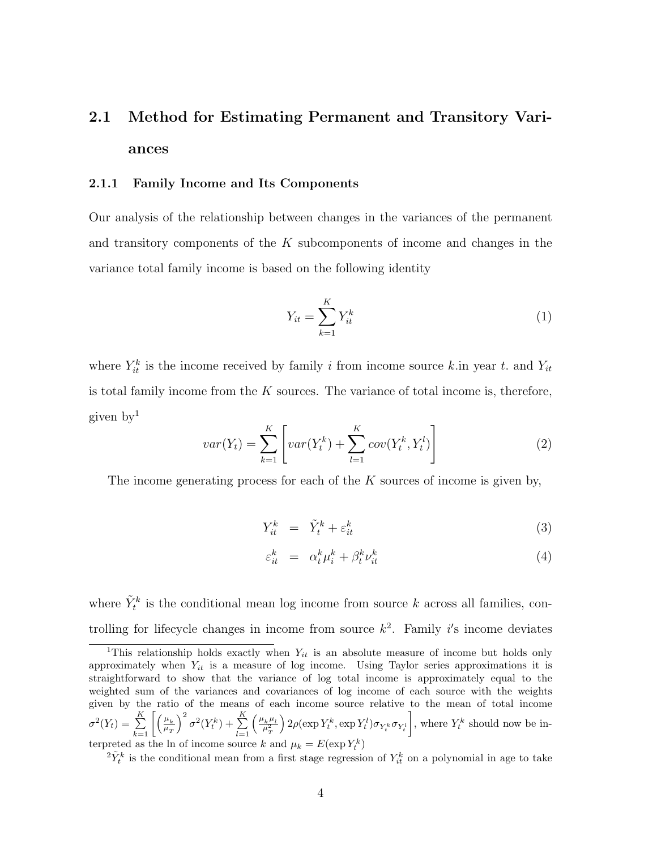## 2.1 Method for Estimating Permanent and Transitory Variances

#### 2.1.1 Family Income and Its Components

Our analysis of the relationship between changes in the variances of the permanent and transitory components of the K subcomponents of income and changes in the variance total family income is based on the following identity

$$
Y_{it} = \sum_{k=1}^{K} Y_{it}^k \tag{1}
$$

where  $Y_{it}^k$  is the income received by family i from income source k.in year t. and  $Y_{it}$ is total family income from the  $K$  sources. The variance of total income is, therefore, given by<sup>1</sup>

$$
var(Y_t) = \sum_{k=1}^{K} \left[ var(Y_t^k) + \sum_{l=1}^{K} cov(Y_t^k, Y_t^l) \right]
$$
 (2)

The income generating process for each of the  $K$  sources of income is given by,

$$
Y_{it}^k = \tilde{Y}_t^k + \varepsilon_{it}^k \tag{3}
$$

$$
\varepsilon_{it}^k = \alpha_t^k \mu_i^k + \beta_t^k \nu_{it}^k \tag{4}
$$

where  $\tilde{Y}_t^k$  is the conditional mean log income from source k across all families, controlling for lifecycle changes in income from source  $k^2$ . Family i's income deviates

<sup>&</sup>lt;sup>1</sup>This relationship holds exactly when  $Y_{it}$  is an absolute measure of income but holds only approximately when  $Y_{it}$  is a measure of log income. Using Taylor series approximations it is straightforward to show that the variance of log total income is approximately equal to the weighted sum of the variances and covariances of log income of each source with the weights given by the ratio of the means of each income source relative to the mean of total income  $\sigma^2(Y_t) = \sum_{k=1}^K \left[ \left( \frac{\mu_k}{\mu_T} \right)$  $\mu$ <sub>T</sub>  $\int^2 \sigma^2(Y_t^k) + \sum_{k=1}^K$  $_{l=1}$  $\left(\frac{\mu_k^{\phantom{k}}\mu_l^{\phantom{k}}}{\mu_T^2}\right)$  $\Big) 2\rho(\exp Y_t^k,\exp Y_t^l)\sigma_{Y_t^k}\sigma_{Y_t^l}$ , where  $Y_t^k$  should now be interpreted as the ln of income source k and  $\mu_k = E(\exp Y_t^k)$ 

 ${}^{2}\tilde{Y}_{t}^{k}$  is the conditional mean from a first stage regression of  $Y_{it}^{k}$  on a polynomial in age to take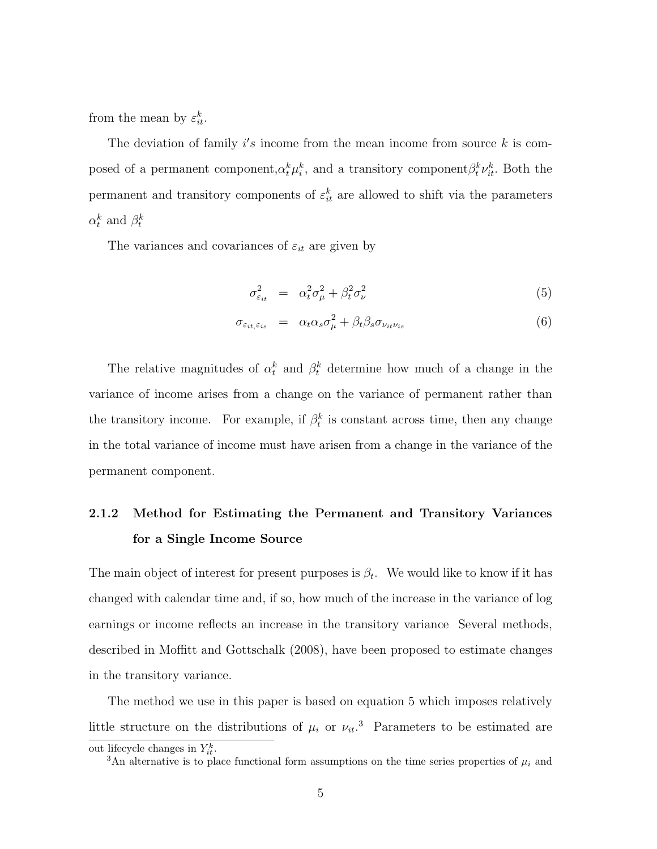from the mean by  $\varepsilon_{it}^k$ .

The deviation of family  $i's$  income from the mean income from source  $k$  is composed of a permanent component,  $\alpha_t^k \mu_i^k$ , and a transitory component  $\beta_t^k \nu_{it}^k$ . Both the permanent and transitory components of  $\varepsilon_{it}^k$  are allowed to shift via the parameters  $\alpha_t^k$  and  $\beta_t^k$ 

The variances and covariances of  $\varepsilon_{it}$  are given by

$$
\sigma_{\varepsilon_{it}}^2 = \alpha_t^2 \sigma_\mu^2 + \beta_t^2 \sigma_\nu^2 \tag{5}
$$

$$
\sigma_{\varepsilon_{it},\varepsilon_{is}} = \alpha_t \alpha_s \sigma_\mu^2 + \beta_t \beta_s \sigma_{\nu_{it} \nu_{is}} \tag{6}
$$

The relative magnitudes of  $\alpha_t^k$  and  $\beta_t^k$  determine how much of a change in the variance of income arises from a change on the variance of permanent rather than the transitory income. For example, if  $\beta_t^k$  is constant across time, then any change in the total variance of income must have arisen from a change in the variance of the permanent component.

## 2.1.2 Method for Estimating the Permanent and Transitory Variances for a Single Income Source

The main object of interest for present purposes is  $\beta_t$ . We would like to know if it has changed with calendar time and, if so, how much of the increase in the variance of log earnings or income reflects an increase in the transitory variance Several methods, described in Moffitt and Gottschalk (2008), have been proposed to estimate changes in the transitory variance.

The method we use in this paper is based on equation 5 which imposes relatively little structure on the distributions of  $\mu_i$  or  $\nu_{it}$ <sup>3</sup>. Parameters to be estimated are

out lifecycle changes in  $Y_{it}^k$ .

<sup>&</sup>lt;sup>3</sup>An alternative is to place functional form assumptions on the time series properties of  $\mu_i$  and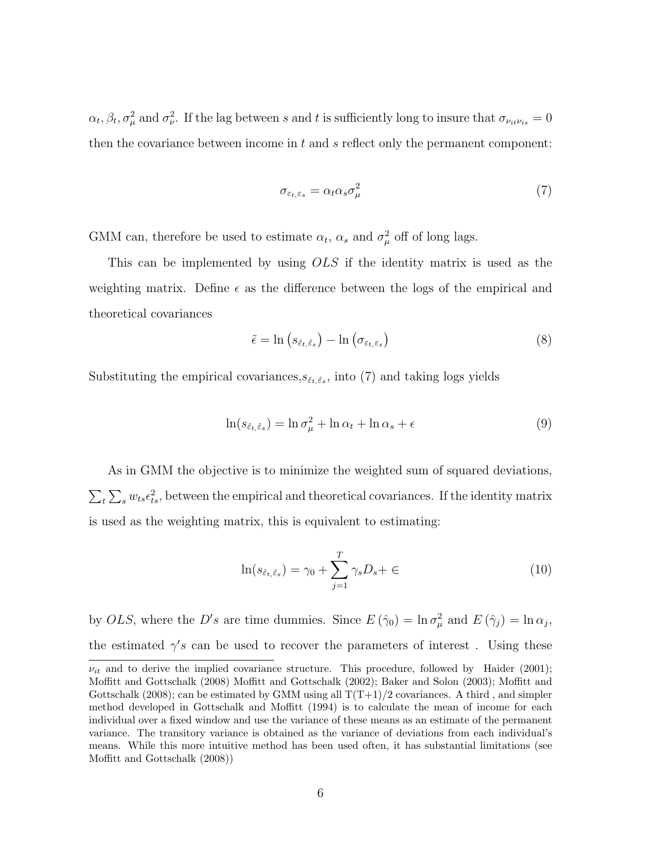$\alpha_t, \beta_t, \sigma_\mu^2$  and  $\sigma_\nu^2$ . If the lag between s and t is sufficiently long to insure that  $\sigma_{\nu_i\mu_{i_s}} = 0$ then the covariance between income in  $t$  and  $s$  reflect only the permanent component:

$$
\sigma_{\varepsilon_t, \varepsilon_s} = \alpha_t \alpha_s \sigma_\mu^2 \tag{7}
$$

GMM can, therefore be used to estimate  $\alpha_t$ ,  $\alpha_s$  and  $\sigma_\mu^2$  off of long lags.

This can be implemented by using OLS if the identity matrix is used as the weighting matrix. Define  $\epsilon$  as the difference between the logs of the empirical and theoretical covariances

$$
\tilde{\epsilon} = \ln \left( s_{\hat{\epsilon}_t, \hat{\epsilon}_s} \right) - \ln \left( \sigma_{\varepsilon_t, \varepsilon_s} \right) \tag{8}
$$

Substituting the empirical covariances,  $s_{\hat{\varepsilon}_t, \hat{\varepsilon}_s}$ , into (7) and taking logs yields

$$
\ln(s_{\hat{\varepsilon}_t,\hat{\varepsilon}_s}) = \ln \sigma_\mu^2 + \ln \alpha_t + \ln \alpha_s + \epsilon \tag{9}
$$

As in GMM the objective is to minimize the weighted sum of squared deviations,  $\sum_{t}\sum_{s}w_{ts}\epsilon_{ts}^2$ , between the empirical and theoretical covariances. If the identity matrix is used as the weighting matrix, this is equivalent to estimating:

$$
\ln(s_{\hat{\varepsilon}_t,\hat{\varepsilon}_s}) = \gamma_0 + \sum_{j=1}^T \gamma_s D_s + \in (10)
$$

by OLS, where the D's are time dummies. Since  $E(\hat{\gamma}_0) = \ln \sigma_\mu^2$  and  $E(\hat{\gamma}_j) = \ln \alpha_j$ , the estimated  $\gamma's$  can be used to recover the parameters of interest. Using these

 $\nu_{it}$  and to derive the implied covariance structure. This procedure, followed by Haider (2001); Moffitt and Gottschalk (2008) Moffitt and Gottschalk (2002); Baker and Solon (2003); Moffitt and Gottschalk (2008); can be estimated by GMM using all  $T(T+1)/2$  covariances. A third, and simpler method developed in Gottschalk and Moffitt (1994) is to calculate the mean of income for each individual over a fixed window and use the variance of these means as an estimate of the permanent variance. The transitory variance is obtained as the variance of deviations from each individual's means. While this more intuitive method has been used often, it has substantial limitations (see Moffitt and Gottschalk (2008))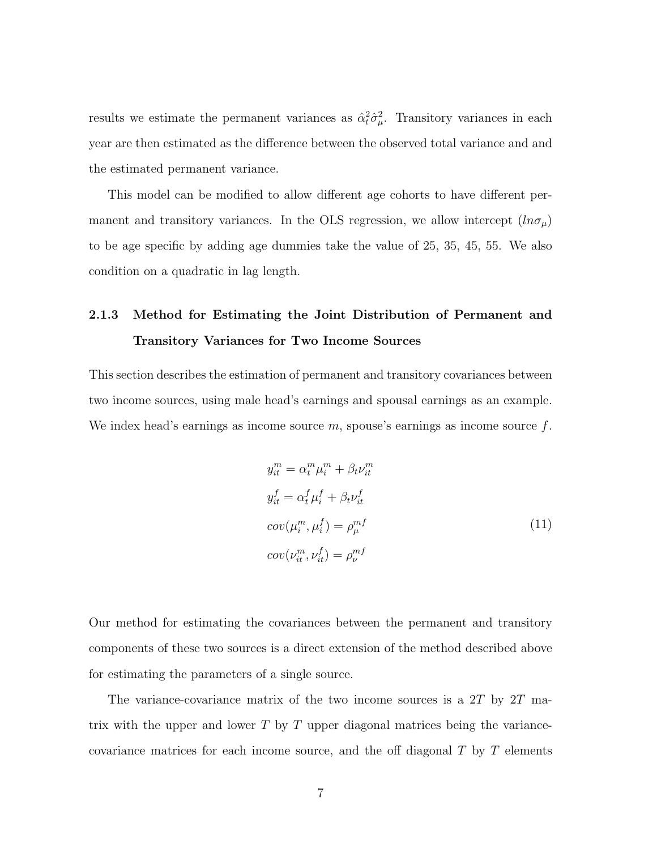results we estimate the permanent variances as  $\hat{\alpha}_t^2 \hat{\sigma}_{\mu}^2$ . Transitory variances in each year are then estimated as the difference between the observed total variance and and the estimated permanent variance.

This model can be modified to allow different age cohorts to have different permanent and transitory variances. In the OLS regression, we allow intercept  $(ln \sigma_\mu)$ to be age specific by adding age dummies take the value of 25, 35, 45, 55. We also condition on a quadratic in lag length.

## 2.1.3 Method for Estimating the Joint Distribution of Permanent and Transitory Variances for Two Income Sources

This section describes the estimation of permanent and transitory covariances between two income sources, using male head's earnings and spousal earnings as an example. We index head's earnings as income source  $m$ , spouse's earnings as income source  $f$ .

$$
y_{it}^{m} = \alpha_{t}^{m} \mu_{i}^{m} + \beta_{t} \nu_{it}^{m}
$$
  
\n
$$
y_{it}^{f} = \alpha_{t}^{f} \mu_{i}^{f} + \beta_{t} \nu_{it}^{f}
$$
  
\n
$$
cov(\mu_{i}^{m}, \mu_{i}^{f}) = \rho_{\mu}^{mf}
$$
  
\n
$$
cov(\nu_{it}^{m}, \nu_{it}^{f}) = \rho_{\nu}^{mf}
$$
  
\n(11)

Our method for estimating the covariances between the permanent and transitory components of these two sources is a direct extension of the method described above for estimating the parameters of a single source.

The variance-covariance matrix of the two income sources is a  $2T$  by  $2T$  matrix with the upper and lower  $T$  by  $T$  upper diagonal matrices being the variancecovariance matrices for each income source, and the off diagonal  $T$  by  $T$  elements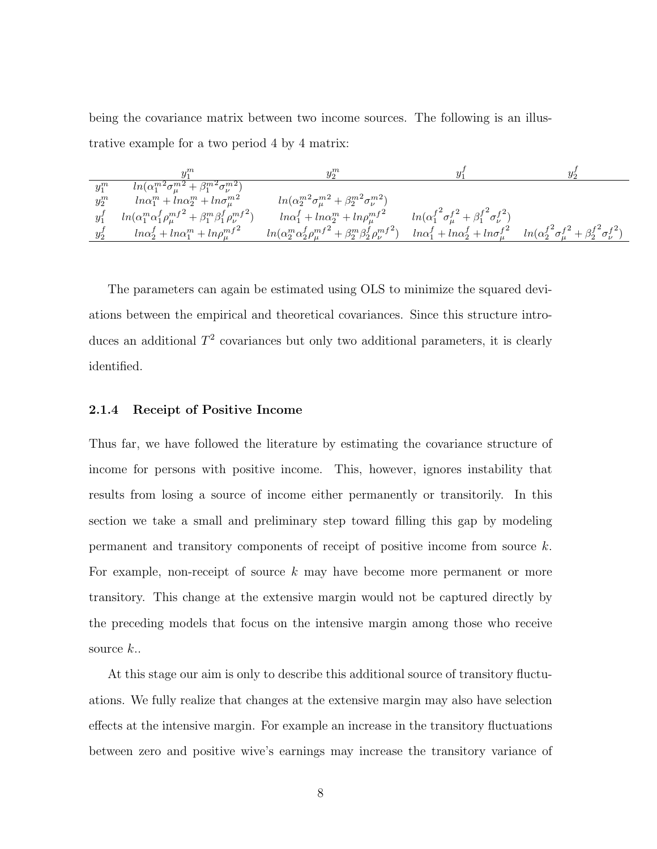being the covariance matrix between two income sources. The following is an illustrative example for a two period 4 by 4 matrix:

|         |                                                                                   | $y_2^m$                                                                               |                                                                        |                                                                                                                         |
|---------|-----------------------------------------------------------------------------------|---------------------------------------------------------------------------------------|------------------------------------------------------------------------|-------------------------------------------------------------------------------------------------------------------------|
| $y_1^m$ | $ln(\alpha_1^{m2}\sigma_{\mu}^{m2} + \beta_1^{m2}\sigma_{\nu}^{m2})$              |                                                                                       |                                                                        |                                                                                                                         |
| $y_2^m$ | $ln\alpha_1^m + ln\alpha_2^m + ln\sigma_{\mu}^{m2}$                               | $ln(\alpha_2^{m2}\sigma_{\mu}^{m2} + \beta_2^{m2}\sigma_{\nu}^{m2})$                  |                                                                        |                                                                                                                         |
| $y_1^f$ | $ln(\alpha_1^m \alpha_1^f \rho_\mu^{mf^2} + \beta_1^m \beta_1^f \rho_\nu^{mf^2})$ | $ln\alpha_1^f + ln\alpha_2^m + ln\rho_{\mu}^{mf^2}$                                   | $ln(\alpha_1^{f^2} \sigma_\mu^{f^2} + \beta_1^{f^2} \sigma_\nu^{f^2})$ |                                                                                                                         |
| $y_2^J$ | $ln\alpha_2^f + ln\alpha_1^m + ln\rho_\mu^{mf^2}$                                 | $ln(\alpha_2^m \alpha_2^f \rho_{\mu}^{mf^2} + \beta_2^m \beta_2^f \rho_{\nu}^{mf^2})$ |                                                                        | $ln\alpha_1^f + ln\alpha_2^f + ln\sigma_\mu^{f^2}$ $ln(\alpha_2^{f^2}\sigma_\mu^{f^2} + \beta_2^{f^2}\sigma_\nu^{f^2})$ |

The parameters can again be estimated using OLS to minimize the squared deviations between the empirical and theoretical covariances. Since this structure introduces an additional  $T^2$  covariances but only two additional parameters, it is clearly identified.

#### 2.1.4 Receipt of Positive Income

Thus far, we have followed the literature by estimating the covariance structure of income for persons with positive income. This, however, ignores instability that results from losing a source of income either permanently or transitorily. In this section we take a small and preliminary step toward filling this gap by modeling permanent and transitory components of receipt of positive income from source k. For example, non-receipt of source  $k$  may have become more permanent or more transitory. This change at the extensive margin would not be captured directly by the preceding models that focus on the intensive margin among those who receive source  $k$ ..

At this stage our aim is only to describe this additional source of transitory fluctuations. We fully realize that changes at the extensive margin may also have selection effects at the intensive margin. For example an increase in the transitory fluctuations between zero and positive wive's earnings may increase the transitory variance of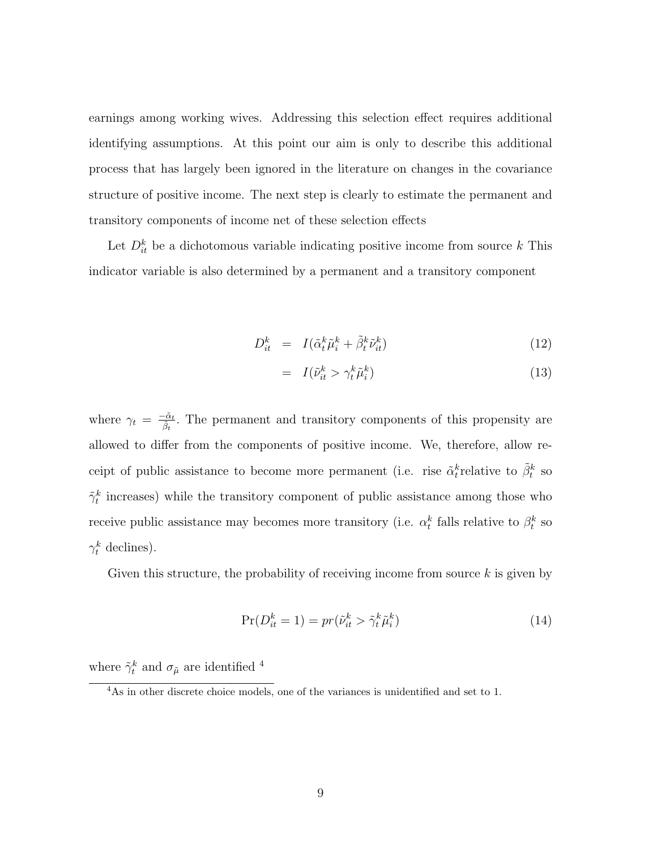earnings among working wives. Addressing this selection effect requires additional identifying assumptions. At this point our aim is only to describe this additional process that has largely been ignored in the literature on changes in the covariance structure of positive income. The next step is clearly to estimate the permanent and transitory components of income net of these selection effects

Let  $D_{it}^k$  be a dichotomous variable indicating positive income from source k This indicator variable is also determined by a permanent and a transitory component

$$
D_{it}^k = I(\tilde{\alpha}_t^k \tilde{\mu}_i^k + \tilde{\beta}_t^k \tilde{\nu}_{it}^k)
$$
\n(12)

$$
= I(\tilde{\nu}_{it}^k > \gamma_t^k \tilde{\mu}_i^k) \tag{13}
$$

where  $\gamma_t = \frac{-\tilde{\alpha}_t}{\tilde{\beta}_t}$ . The permanent and transitory components of this propensity are allowed to differ from the components of positive income. We, therefore, allow receipt of public assistance to become more permanent (i.e. rise  $\tilde{\alpha}_t^k$  relative to  $\tilde{\beta}_t^k$  so  $\tilde{\gamma}_t^k$  increases) while the transitory component of public assistance among those who receive public assistance may becomes more transitory (i.e.  $\alpha_t^k$  falls relative to  $\beta_t^k$  so  $\gamma_t^k$  declines).

Given this structure, the probability of receiving income from source  $k$  is given by

$$
\Pr(D_{it}^k = 1) = pr(\tilde{\nu}_{it}^k > \tilde{\gamma}_t^k \tilde{\mu}_i^k)
$$
\n(14)

where  $\tilde{\gamma}_t^k$  and  $\sigma_{\tilde{\mu}}$  are identified <sup>4</sup>

<sup>4</sup>As in other discrete choice models, one of the variances is unidentified and set to 1.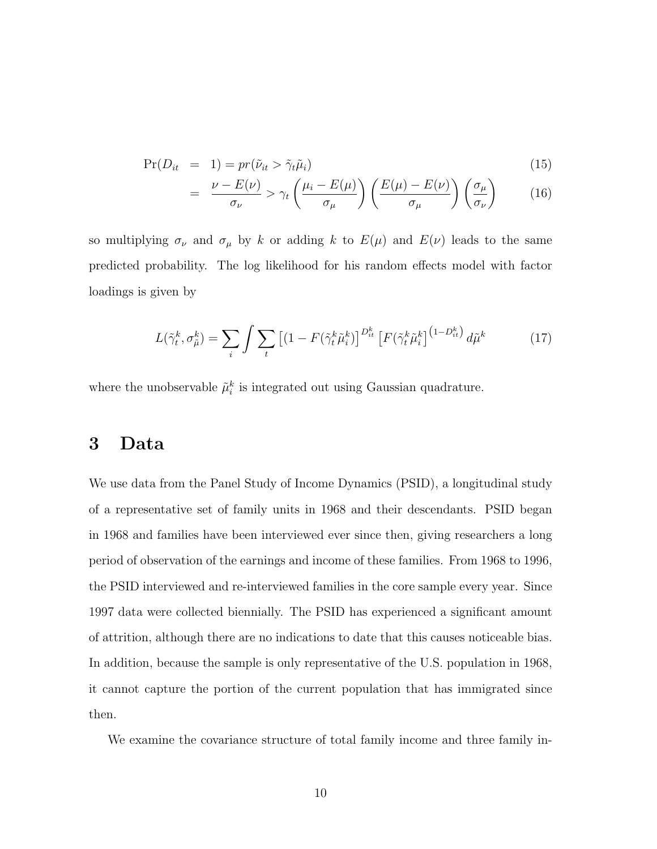$$
Pr(D_{it} = 1) = pr(\tilde{\nu}_{it} > \tilde{\gamma}_{t}\tilde{\mu}_{i})
$$
\n(15)

$$
= \frac{\nu - E(\nu)}{\sigma_{\nu}} > \gamma_t \left( \frac{\mu_i - E(\mu)}{\sigma_{\mu}} \right) \left( \frac{E(\mu) - E(\nu)}{\sigma_{\mu}} \right) \left( \frac{\sigma_{\mu}}{\sigma_{\nu}} \right) \tag{16}
$$

so multiplying  $\sigma_{\nu}$  and  $\sigma_{\mu}$  by k or adding k to  $E(\mu)$  and  $E(\nu)$  leads to the same predicted probability. The log likelihood for his random effects model with factor loadings is given by

$$
L(\tilde{\gamma}_t^k, \sigma_{\tilde{\mu}}^k) = \sum_i \int \sum_t \left[ (1 - F(\tilde{\gamma}_t^k \tilde{\mu}_i^k) \right]^{D_{it}^k} \left[ F(\tilde{\gamma}_t^k \tilde{\mu}_i^k) \right]^{(1 - D_{it}^k)} d\tilde{\mu}^k \tag{17}
$$

where the unobservable  $\tilde{\mu}_i^k$  is integrated out using Gaussian quadrature.

### 3 Data

We use data from the Panel Study of Income Dynamics (PSID), a longitudinal study of a representative set of family units in 1968 and their descendants. PSID began in 1968 and families have been interviewed ever since then, giving researchers a long period of observation of the earnings and income of these families. From 1968 to 1996, the PSID interviewed and re-interviewed families in the core sample every year. Since 1997 data were collected biennially. The PSID has experienced a significant amount of attrition, although there are no indications to date that this causes noticeable bias. In addition, because the sample is only representative of the U.S. population in 1968, it cannot capture the portion of the current population that has immigrated since then.

We examine the covariance structure of total family income and three family in-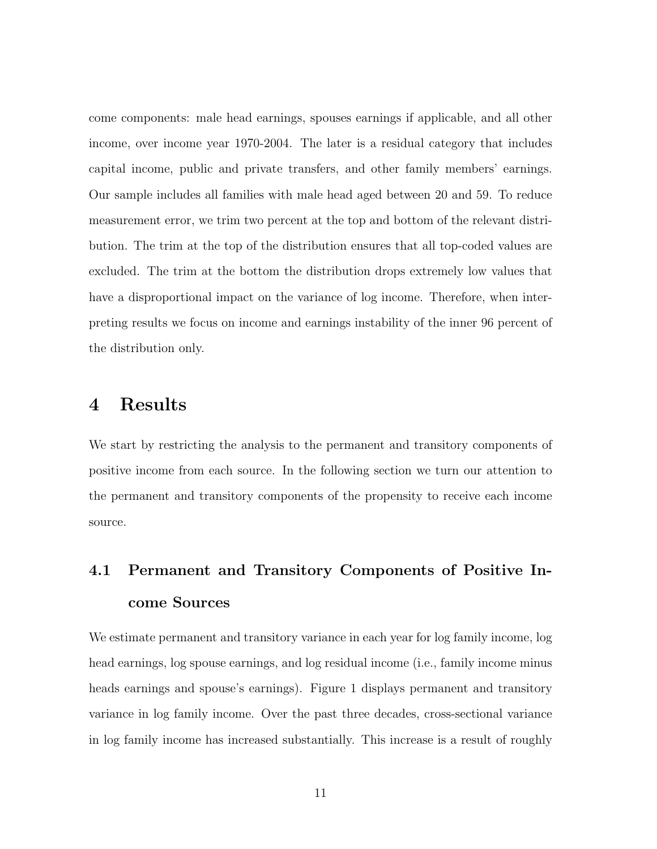come components: male head earnings, spouses earnings if applicable, and all other income, over income year 1970-2004. The later is a residual category that includes capital income, public and private transfers, and other family members' earnings. Our sample includes all families with male head aged between 20 and 59. To reduce measurement error, we trim two percent at the top and bottom of the relevant distribution. The trim at the top of the distribution ensures that all top-coded values are excluded. The trim at the bottom the distribution drops extremely low values that have a disproportional impact on the variance of log income. Therefore, when interpreting results we focus on income and earnings instability of the inner 96 percent of the distribution only.

### 4 Results

We start by restricting the analysis to the permanent and transitory components of positive income from each source. In the following section we turn our attention to the permanent and transitory components of the propensity to receive each income source.

## 4.1 Permanent and Transitory Components of Positive Income Sources

We estimate permanent and transitory variance in each year for log family income, log head earnings, log spouse earnings, and log residual income (i.e., family income minus heads earnings and spouse's earnings). Figure 1 displays permanent and transitory variance in log family income. Over the past three decades, cross-sectional variance in log family income has increased substantially. This increase is a result of roughly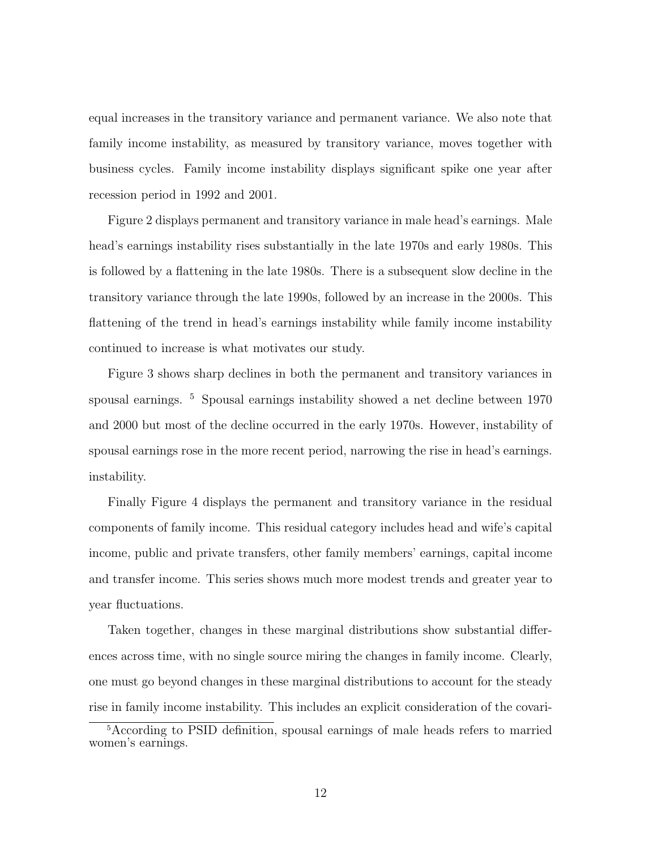equal increases in the transitory variance and permanent variance. We also note that family income instability, as measured by transitory variance, moves together with business cycles. Family income instability displays significant spike one year after recession period in 1992 and 2001.

Figure 2 displays permanent and transitory variance in male head's earnings. Male head's earnings instability rises substantially in the late 1970s and early 1980s. This is followed by a flattening in the late 1980s. There is a subsequent slow decline in the transitory variance through the late 1990s, followed by an increase in the 2000s. This flattening of the trend in head's earnings instability while family income instability continued to increase is what motivates our study.

Figure 3 shows sharp declines in both the permanent and transitory variances in spousal earnings. <sup>5</sup> Spousal earnings instability showed a net decline between 1970 and 2000 but most of the decline occurred in the early 1970s. However, instability of spousal earnings rose in the more recent period, narrowing the rise in head's earnings. instability.

Finally Figure 4 displays the permanent and transitory variance in the residual components of family income. This residual category includes head and wife's capital income, public and private transfers, other family members' earnings, capital income and transfer income. This series shows much more modest trends and greater year to year fluctuations.

Taken together, changes in these marginal distributions show substantial differences across time, with no single source miring the changes in family income. Clearly, one must go beyond changes in these marginal distributions to account for the steady rise in family income instability. This includes an explicit consideration of the covari-

<sup>5</sup>According to PSID definition, spousal earnings of male heads refers to married women's earnings.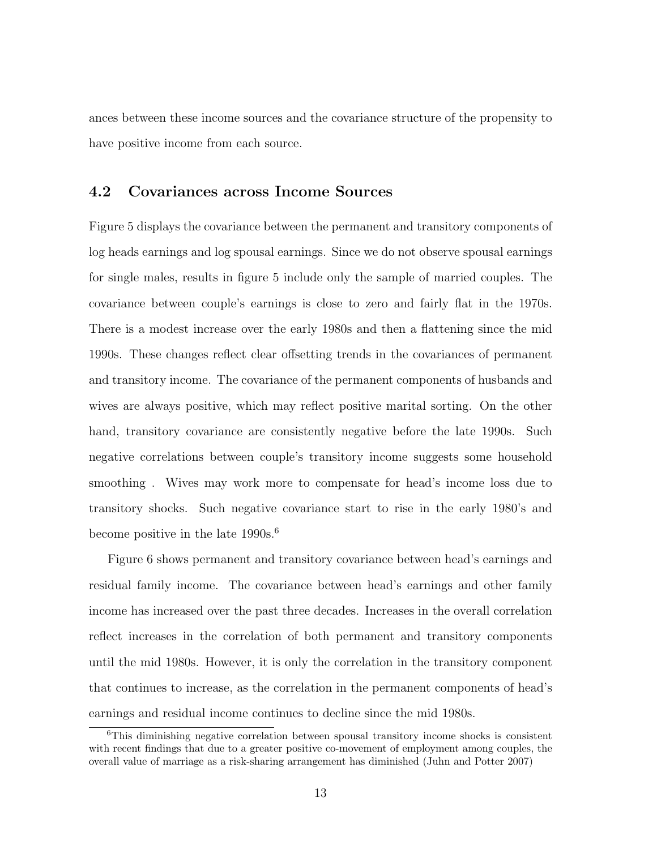ances between these income sources and the covariance structure of the propensity to have positive income from each source.

### 4.2 Covariances across Income Sources

Figure 5 displays the covariance between the permanent and transitory components of log heads earnings and log spousal earnings. Since we do not observe spousal earnings for single males, results in figure 5 include only the sample of married couples. The covariance between couple's earnings is close to zero and fairly flat in the 1970s. There is a modest increase over the early 1980s and then a flattening since the mid 1990s. These changes reflect clear offsetting trends in the covariances of permanent and transitory income. The covariance of the permanent components of husbands and wives are always positive, which may reflect positive marital sorting. On the other hand, transitory covariance are consistently negative before the late 1990s. Such negative correlations between couple's transitory income suggests some household smoothing . Wives may work more to compensate for head's income loss due to transitory shocks. Such negative covariance start to rise in the early 1980's and become positive in the late  $1990s^{6}$ .

Figure 6 shows permanent and transitory covariance between head's earnings and residual family income. The covariance between head's earnings and other family income has increased over the past three decades. Increases in the overall correlation reflect increases in the correlation of both permanent and transitory components until the mid 1980s. However, it is only the correlation in the transitory component that continues to increase, as the correlation in the permanent components of head's earnings and residual income continues to decline since the mid 1980s.

<sup>6</sup>This diminishing negative correlation between spousal transitory income shocks is consistent with recent findings that due to a greater positive co-movement of employment among couples, the overall value of marriage as a risk-sharing arrangement has diminished (Juhn and Potter 2007)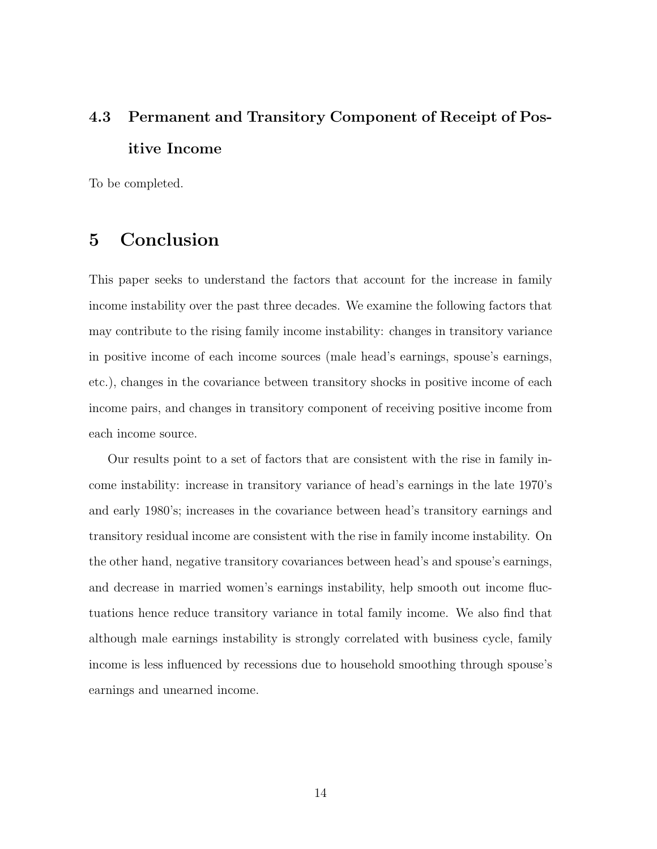## 4.3 Permanent and Transitory Component of Receipt of Positive Income

To be completed.

### 5 Conclusion

This paper seeks to understand the factors that account for the increase in family income instability over the past three decades. We examine the following factors that may contribute to the rising family income instability: changes in transitory variance in positive income of each income sources (male head's earnings, spouse's earnings, etc.), changes in the covariance between transitory shocks in positive income of each income pairs, and changes in transitory component of receiving positive income from each income source.

Our results point to a set of factors that are consistent with the rise in family income instability: increase in transitory variance of head's earnings in the late 1970's and early 1980's; increases in the covariance between head's transitory earnings and transitory residual income are consistent with the rise in family income instability. On the other hand, negative transitory covariances between head's and spouse's earnings, and decrease in married women's earnings instability, help smooth out income fluctuations hence reduce transitory variance in total family income. We also find that although male earnings instability is strongly correlated with business cycle, family income is less influenced by recessions due to household smoothing through spouse's earnings and unearned income.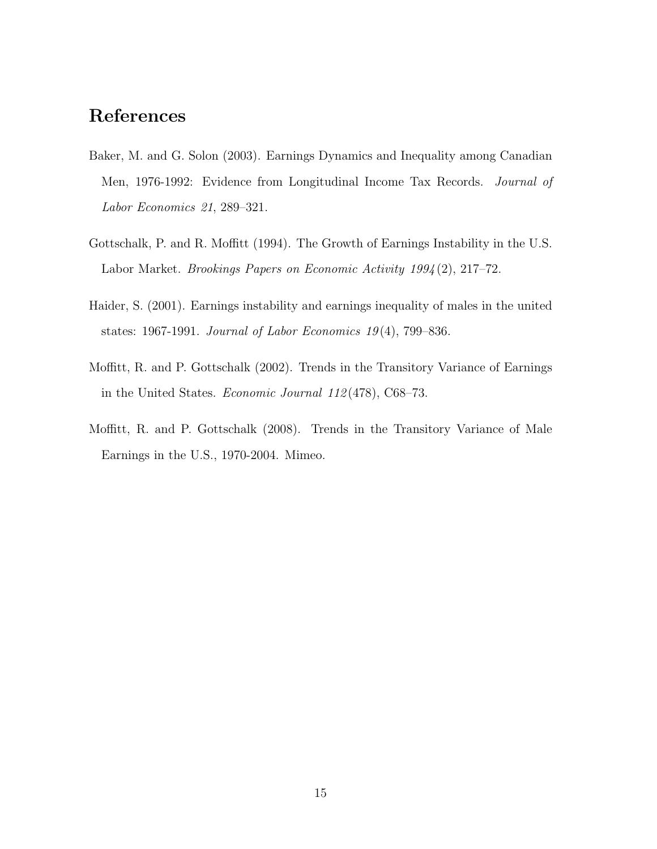## References

- Baker, M. and G. Solon (2003). Earnings Dynamics and Inequality among Canadian Men, 1976-1992: Evidence from Longitudinal Income Tax Records. Journal of Labor Economics 21, 289–321.
- Gottschalk, P. and R. Moffitt (1994). The Growth of Earnings Instability in the U.S. Labor Market. Brookings Papers on Economic Activity 1994 (2), 217–72.
- Haider, S. (2001). Earnings instability and earnings inequality of males in the united states: 1967-1991. Journal of Labor Economics  $19(4)$ , 799-836.
- Moffitt, R. and P. Gottschalk (2002). Trends in the Transitory Variance of Earnings in the United States. Economic Journal 112 (478), C68–73.
- Moffitt, R. and P. Gottschalk (2008). Trends in the Transitory Variance of Male Earnings in the U.S., 1970-2004. Mimeo.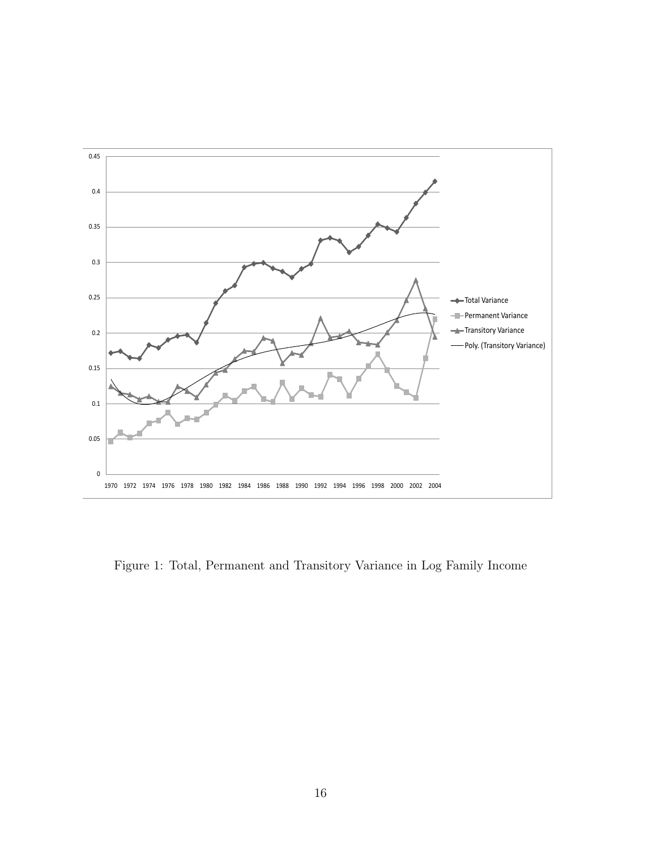

Figure 1: Total, Permanent and Transitory Variance in Log Family Income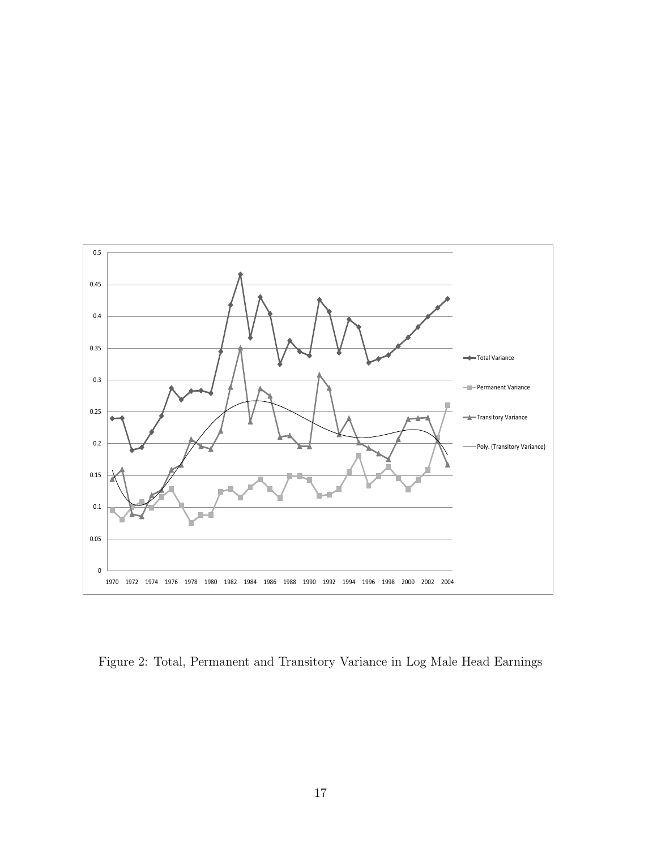

Figure 2: Total, Permanent and Transitory Variance in Log Male Head Earnings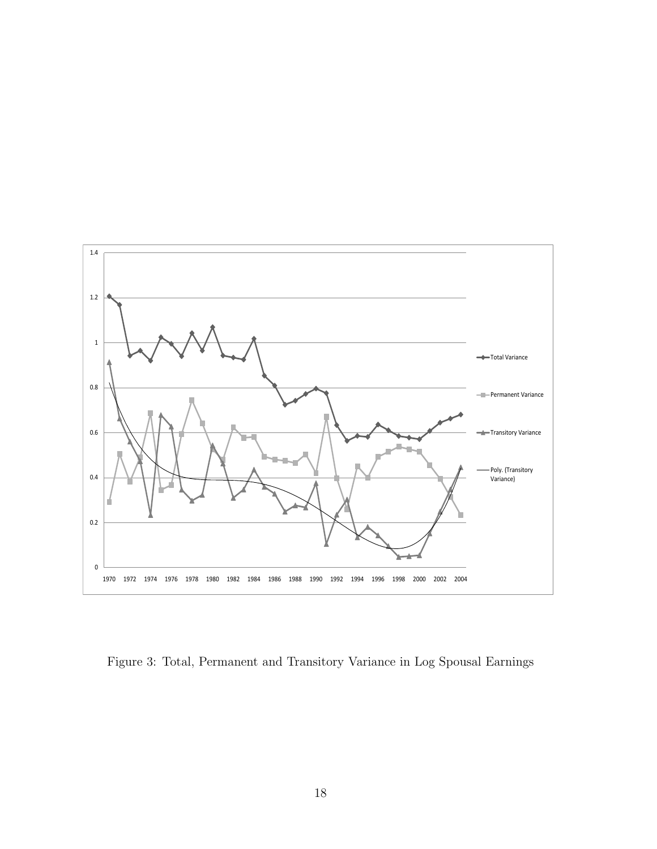

Figure 3: Total, Permanent and Transitory Variance in Log Spousal Earnings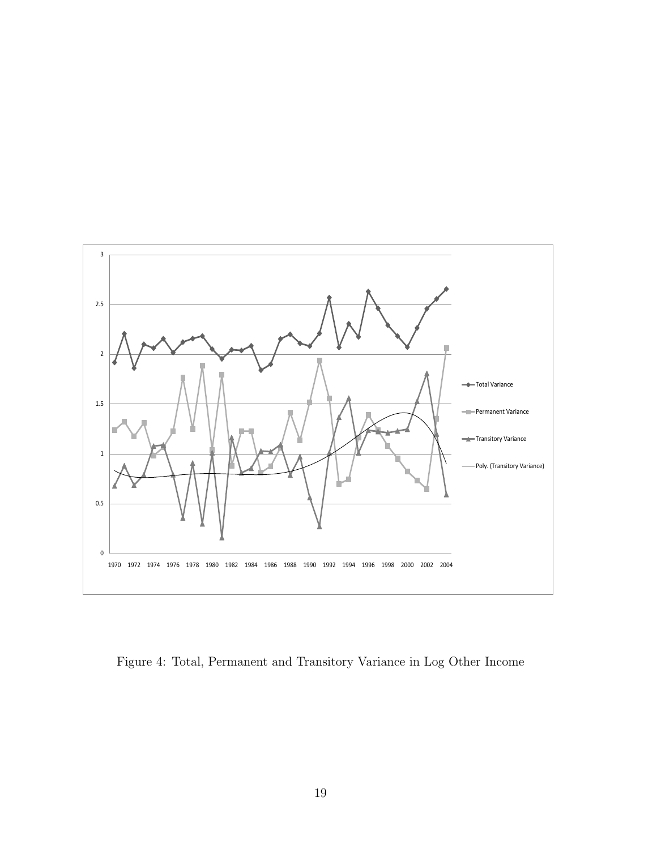

Figure 4: Total, Permanent and Transitory Variance in Log Other Income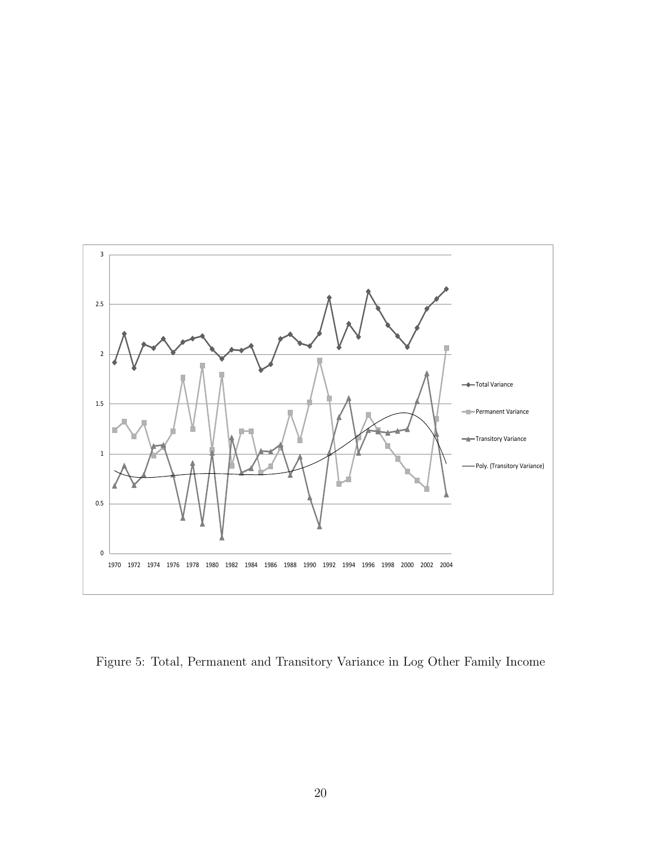

Figure 5: Total, Permanent and Transitory Variance in Log Other Family Income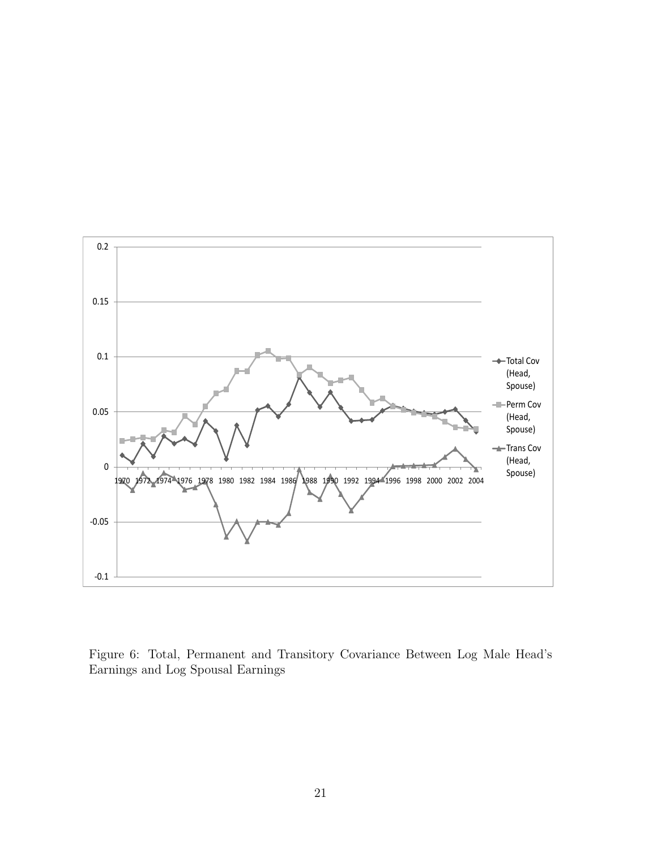

Figure 6: Total, Permanent and Transitory Covariance Between Log Male Head's Earnings and Log Spousal Earnings